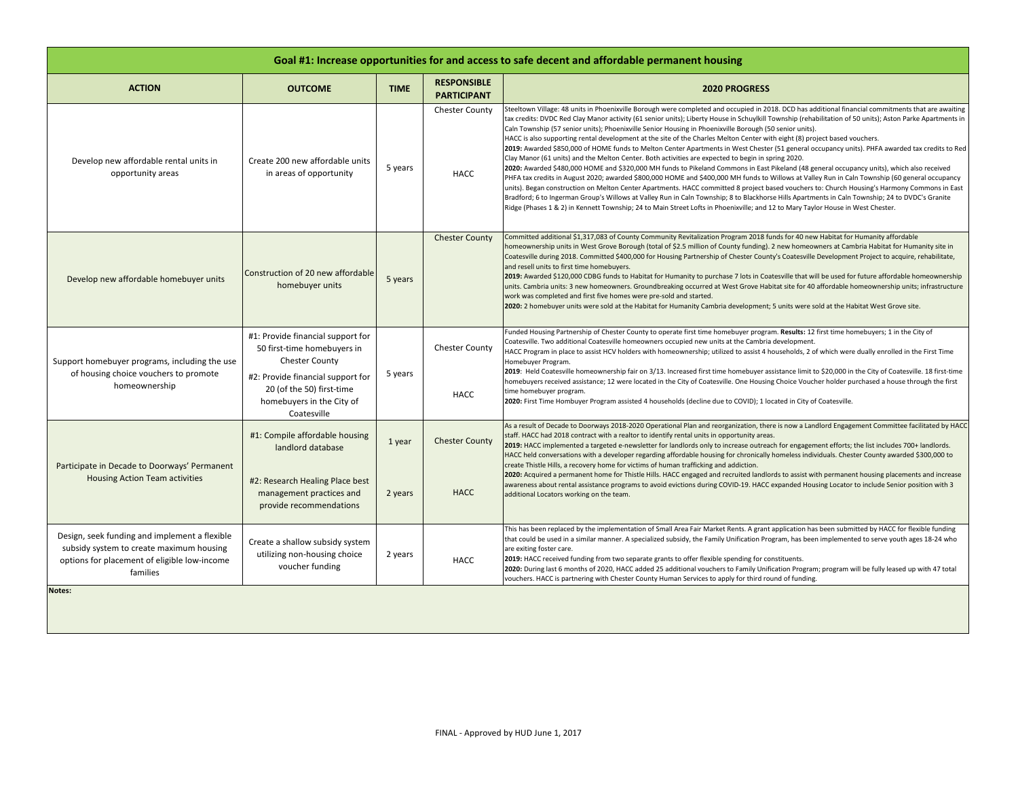| Goal #1: Increase opportunities for and access to safe decent and affordable permanent housing                                                                  |                                                                                                                                                                                                         |                   |                                          |                                                                                                                                                                                                                                                                                                                                                                                                                                                                                                                                                                                                                                                                                                                                                                                                                                                                                                                                                                                                                                                                                                                                                                                                                                                                                                                                                                                                                                                                                                                                                          |  |
|-----------------------------------------------------------------------------------------------------------------------------------------------------------------|---------------------------------------------------------------------------------------------------------------------------------------------------------------------------------------------------------|-------------------|------------------------------------------|----------------------------------------------------------------------------------------------------------------------------------------------------------------------------------------------------------------------------------------------------------------------------------------------------------------------------------------------------------------------------------------------------------------------------------------------------------------------------------------------------------------------------------------------------------------------------------------------------------------------------------------------------------------------------------------------------------------------------------------------------------------------------------------------------------------------------------------------------------------------------------------------------------------------------------------------------------------------------------------------------------------------------------------------------------------------------------------------------------------------------------------------------------------------------------------------------------------------------------------------------------------------------------------------------------------------------------------------------------------------------------------------------------------------------------------------------------------------------------------------------------------------------------------------------------|--|
| <b>ACTION</b>                                                                                                                                                   | <b>OUTCOME</b>                                                                                                                                                                                          | <b>TIME</b>       | <b>RESPONSIBLE</b><br><b>PARTICIPANT</b> | <b>2020 PROGRESS</b>                                                                                                                                                                                                                                                                                                                                                                                                                                                                                                                                                                                                                                                                                                                                                                                                                                                                                                                                                                                                                                                                                                                                                                                                                                                                                                                                                                                                                                                                                                                                     |  |
| Develop new affordable rental units in<br>opportunity areas                                                                                                     | Create 200 new affordable units<br>in areas of opportunity                                                                                                                                              | 5 years           | <b>Chester County</b><br>HACC            | Steeltown Village: 48 units in Phoenixville Borough were completed and occupied in 2018. DCD has additional financial commitments that are awaiting<br>tax credits: DVDC Red Clay Manor activity (61 senior units); Liberty House in Schuylkill Township (rehabilitation of 50 units); Aston Parke Apartments in<br>Caln Township (57 senior units); Phoenixville Senior Housing in Phoenixville Borough (50 senior units).<br>HACC is also supporting rental development at the site of the Charles Melton Center with eight (8) project based vouchers.<br>2019: Awarded \$850,000 of HOME funds to Melton Center Apartments in West Chester (51 general occupancy units). PHFA awarded tax credits to Red<br>Clay Manor (61 units) and the Melton Center. Both activities are expected to begin in spring 2020.<br>2020: Awarded \$480,000 HOME and \$320,000 MH funds to Pikeland Commons in East Pikeland (48 general occupancy units), which also received<br>PHFA tax credits in August 2020; awarded \$800,000 HOME and \$400,000 MH funds to Willows at Valley Run in Caln Township (60 general occupancy<br>units). Began construction on Melton Center Apartments. HACC committed 8 project based vouchers to: Church Housing's Harmony Commons in East<br>Bradford; 6 to Ingerman Group's Willows at Valley Run in Caln Township; 8 to Blackhorse Hills Apartments in Caln Township; 24 to DVDC's Granite<br>Ridge (Phases 1 & 2) in Kennett Township; 24 to Main Street Lofts in Phoenixville; and 12 to Mary Taylor House in West Chester. |  |
| Develop new affordable homebuyer units                                                                                                                          | Construction of 20 new affordable<br>homebuyer units                                                                                                                                                    | 5 years           | <b>Chester County</b>                    | Committed additional \$1,317,083 of County Community Revitalization Program 2018 funds for 40 new Habitat for Humanity affordable<br>homeownership units in West Grove Borough (total of \$2.5 million of County funding). 2 new homeowners at Cambria Habitat for Humanity site in<br>Coatesville during 2018. Committed \$400,000 for Housing Partnership of Chester County's Coatesville Development Project to acquire, rehabilitate,<br>and resell units to first time homebuyers.<br>2019: Awarded \$120,000 CDBG funds to Habitat for Humanity to purchase 7 lots in Coatesville that will be used for future affordable homeownership<br>units. Cambria units: 3 new homeowners. Groundbreaking occurred at West Grove Habitat site for 40 affordable homeownership units; infrastructure<br>work was completed and first five homes were pre-sold and started.<br>2020: 2 homebuyer units were sold at the Habitat for Humanity Cambria development; 5 units were sold at the Habitat West Grove site.                                                                                                                                                                                                                                                                                                                                                                                                                                                                                                                                          |  |
| Support homebuyer programs, including the use<br>of housing choice vouchers to promote<br>homeownership                                                         | #1: Provide financial support for<br>50 first-time homebuyers in<br><b>Chester County</b><br>#2: Provide financial support for<br>20 (of the 50) first-time<br>homebuyers in the City of<br>Coatesville | 5 years           | <b>Chester County</b><br>HACC            | Funded Housing Partnership of Chester County to operate first time homebuyer program. Results: 12 first time homebuyers; 1 in the City of<br>Coatesville. Two additional Coatesville homeowners occupied new units at the Cambria development.<br>HACC Program in place to assist HCV holders with homeownership; utilized to assist 4 households, 2 of which were dually enrolled in the First Time<br>Homebuyer Program.<br>2019: Held Coatesville homeownership fair on 3/13. Increased first time homebuyer assistance limit to \$20,000 in the City of Coatesville. 18 first-time<br>homebuyers received assistance; 12 were located in the City of Coatesville. One Housing Choice Voucher holder purchased a house through the first<br>time homebuyer program.<br>2020: First Time Hombuyer Program assisted 4 households (decline due to COVID); 1 located in City of Coatesville.                                                                                                                                                                                                                                                                                                                                                                                                                                                                                                                                                                                                                                                              |  |
| Participate in Decade to Doorways' Permanent<br><b>Housing Action Team activities</b>                                                                           | #1: Compile affordable housing<br>landlord database<br>#2: Research Healing Place best<br>management practices and<br>provide recommendations                                                           | 1 year<br>2 years | <b>Chester County</b><br><b>HACC</b>     | As a result of Decade to Doorways 2018-2020 Operational Plan and reorganization, there is now a Landlord Engagement Committee facilitated by HACC<br>staff. HACC had 2018 contract with a realtor to identify rental units in opportunity areas.<br>2019: HACC implemented a targeted e-newsletter for landlords only to increase outreach for engagement efforts; the list includes 700+ landlords.<br>HACC held conversations with a developer regarding affordable housing for chronically homeless individuals. Chester County awarded \$300,000 to<br>create Thistle Hills, a recovery home for victims of human trafficking and addiction.<br>2020: Acquired a permanent home for Thistle Hills. HACC engaged and recruited landlords to assist with permanent housing placements and increase<br>awareness about rental assistance programs to avoid evictions during COVID-19. HACC expanded Housing Locator to include Senior position with 3<br>additional Locators working on the team.                                                                                                                                                                                                                                                                                                                                                                                                                                                                                                                                                       |  |
| Design, seek funding and implement a flexible<br>subsidy system to create maximum housing<br>options for placement of eligible low-income<br>families<br>Notes: | Create a shallow subsidy system<br>utilizing non-housing choice<br>voucher funding                                                                                                                      | 2 years           | HACC                                     | This has been replaced by the implementation of Small Area Fair Market Rents. A grant application has been submitted by HACC for flexible funding<br>that could be used in a similar manner. A specialized subsidy, the Family Unification Program, has been implemented to serve youth ages 18-24 who<br>are exiting foster care.<br>2019: HACC received funding from two separate grants to offer flexible spending for constituents.<br>2020: During last 6 months of 2020, HACC added 25 additional vouchers to Family Unification Program; program will be fully leased up with 47 total<br>vouchers. HACC is partnering with Chester County Human Services to apply for third round of funding.                                                                                                                                                                                                                                                                                                                                                                                                                                                                                                                                                                                                                                                                                                                                                                                                                                                    |  |
|                                                                                                                                                                 |                                                                                                                                                                                                         |                   |                                          |                                                                                                                                                                                                                                                                                                                                                                                                                                                                                                                                                                                                                                                                                                                                                                                                                                                                                                                                                                                                                                                                                                                                                                                                                                                                                                                                                                                                                                                                                                                                                          |  |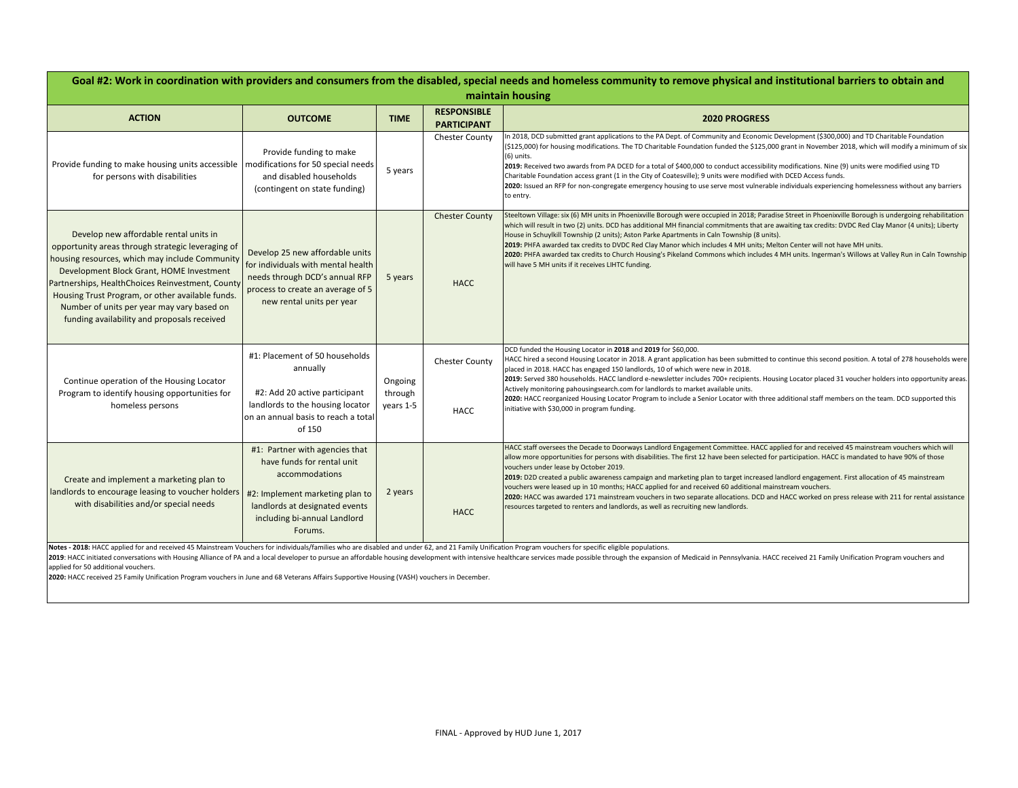| Goal #2: Work in coordination with providers and consumers from the disabled, special needs and homeless community to remove physical and institutional barriers to obtain and<br>maintain housing                                                                                                                                                                                             |                                                                                                                                                                                                |                                 |                                          |                                                                                                                                                                                                                                                                                                                                                                                                                                                                                                                                                                                                                                                                                                                                                                                                                                         |  |  |  |
|------------------------------------------------------------------------------------------------------------------------------------------------------------------------------------------------------------------------------------------------------------------------------------------------------------------------------------------------------------------------------------------------|------------------------------------------------------------------------------------------------------------------------------------------------------------------------------------------------|---------------------------------|------------------------------------------|-----------------------------------------------------------------------------------------------------------------------------------------------------------------------------------------------------------------------------------------------------------------------------------------------------------------------------------------------------------------------------------------------------------------------------------------------------------------------------------------------------------------------------------------------------------------------------------------------------------------------------------------------------------------------------------------------------------------------------------------------------------------------------------------------------------------------------------------|--|--|--|
| <b>ACTION</b>                                                                                                                                                                                                                                                                                                                                                                                  | <b>OUTCOME</b>                                                                                                                                                                                 | <b>TIME</b>                     | <b>RESPONSIBLE</b><br><b>PARTICIPANT</b> | <b>2020 PROGRESS</b>                                                                                                                                                                                                                                                                                                                                                                                                                                                                                                                                                                                                                                                                                                                                                                                                                    |  |  |  |
| Provide funding to make housing units accessible   modifications for 50 special needs<br>for persons with disabilities                                                                                                                                                                                                                                                                         | Provide funding to make<br>and disabled households<br>(contingent on state funding)                                                                                                            | 5 years                         | <b>Chester County</b>                    | In 2018, DCD submitted grant applications to the PA Dept. of Community and Economic Development (\$300,000) and TD Charitable Foundation<br>(\$125,000) for housing modifications. The TD Charitable Foundation funded the \$125,000 grant in November 2018, which will modify a minimum of six<br>$(6)$ units.<br>2019: Received two awards from PA DCED for a total of \$400,000 to conduct accessibility modifications. Nine (9) units were modified using TD<br>Charitable Foundation access grant (1 in the City of Coatesville); 9 units were modified with DCED Access funds.<br>2020: Issued an RFP for non-congregate emergency housing to use serve most vulnerable individuals experiencing homelessness without any barriers<br>to entry.                                                                                   |  |  |  |
| Develop new affordable rental units in<br>opportunity areas through strategic leveraging of<br>housing resources, which may include Community<br>Development Block Grant, HOME Investment<br>Partnerships, HealthChoices Reinvestment, County<br>Housing Trust Program, or other available funds.<br>Number of units per year may vary based on<br>funding availability and proposals received | Develop 25 new affordable units<br>for individuals with mental health<br>needs through DCD's annual RFP<br>process to create an average of 5<br>new rental units per year                      | 5 years                         | <b>Chester County</b><br><b>HACC</b>     | Steeltown Village: six (6) MH units in Phoenixville Borough were occupied in 2018; Paradise Street in Phoenixville Borough is undergoing rehabilitation<br>which will result in two (2) units. DCD has additional MH financial commitments that are awaiting tax credits: DVDC Red Clay Manor (4 units); Liberty<br>House in Schuylkill Township (2 units); Aston Parke Apartments in Caln Township (8 units).<br>2019: PHFA awarded tax credits to DVDC Red Clay Manor which includes 4 MH units; Melton Center will not have MH units.<br>2020: PHFA awarded tax credits to Church Housing's Pikeland Commons which includes 4 MH units. Ingerman's Willows at Valley Run in Caln Township<br>will have 5 MH units if it receives LIHTC funding.                                                                                      |  |  |  |
| Continue operation of the Housing Locator<br>Program to identify housing opportunities for<br>homeless persons                                                                                                                                                                                                                                                                                 | #1: Placement of 50 households<br>annually<br>#2: Add 20 active participant<br>landlords to the housing locator<br>on an annual basis to reach a total<br>of 150                               | Ongoing<br>through<br>years 1-5 | <b>Chester County</b><br><b>HACC</b>     | DCD funded the Housing Locator in 2018 and 2019 for \$60,000.<br>HACC hired a second Housing Locator in 2018. A grant application has been submitted to continue this second position. A total of 278 households were<br>placed in 2018. HACC has engaged 150 landlords, 10 of which were new in 2018.<br>2019: Served 380 households. HACC landlord e-newsletter includes 700+ recipients. Housing Locator placed 31 voucher holders into opportunity areas.<br>Actively monitoring pahousingsearch.com for landlords to market available units.<br>2020: HACC reorganized Housing Locator Program to include a Senior Locator with three additional staff members on the team. DCD supported this<br>initiative with \$30,000 in program funding.                                                                                     |  |  |  |
| Create and implement a marketing plan to<br>landlords to encourage leasing to voucher holders<br>with disabilities and/or special needs                                                                                                                                                                                                                                                        | #1: Partner with agencies that<br>have funds for rental unit<br>accommodations<br>#2: Implement marketing plan to<br>landlords at designated events<br>including bi-annual Landlord<br>Forums. | 2 years                         | <b>HACC</b>                              | HACC staff oversees the Decade to Doorways Landlord Engagement Committee. HACC applied for and received 45 mainstream vouchers which will<br>allow more opportunities for persons with disabilities. The first 12 have been selected for participation. HACC is mandated to have 90% of those<br>vouchers under lease by October 2019.<br>2019: D2D created a public awareness campaign and marketing plan to target increased landlord engagement. First allocation of 45 mainstream<br>vouchers were leased up in 10 months; HACC applied for and received 60 additional mainstream vouchers.<br>2020: HACC was awarded 171 mainstream vouchers in two separate allocations. DCD and HACC worked on press release with 211 for rental assistance<br>resources targeted to renters and landlords, as well as recruiting new landlords. |  |  |  |

Notes - 2018: HACC applied for and received 45 Mainstream Vouchers for individuals/families who are disabled and under 62, and 21 Family Unification Program vouchers for specific eligible populations.<br>2019: HACC initiated applied for 50 additional vouchers.

**2020:** HACC received 25 Family Unification Program vouchers in June and 68 Veterans Affairs Supportive Housing (VASH) vouchers in December.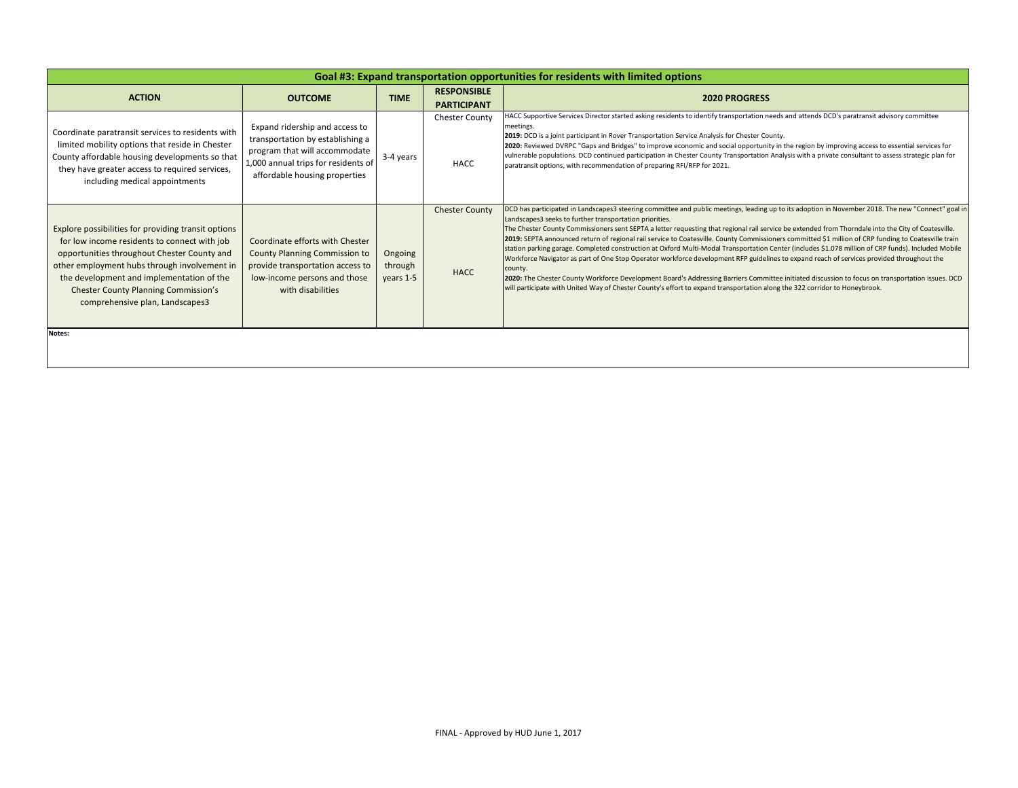| Goal #3: Expand transportation opportunities for residents with limited options                                                                                                                                                                                                                                                   |                                                                                                                                                                             |                                 |                                          |                                                                                                                                                                                                                                                                                                                                                                                                                                                                                                                                                                                                                                                                                                                                                                                                                                                                                                                                                                                                                                                                                                                               |  |  |
|-----------------------------------------------------------------------------------------------------------------------------------------------------------------------------------------------------------------------------------------------------------------------------------------------------------------------------------|-----------------------------------------------------------------------------------------------------------------------------------------------------------------------------|---------------------------------|------------------------------------------|-------------------------------------------------------------------------------------------------------------------------------------------------------------------------------------------------------------------------------------------------------------------------------------------------------------------------------------------------------------------------------------------------------------------------------------------------------------------------------------------------------------------------------------------------------------------------------------------------------------------------------------------------------------------------------------------------------------------------------------------------------------------------------------------------------------------------------------------------------------------------------------------------------------------------------------------------------------------------------------------------------------------------------------------------------------------------------------------------------------------------------|--|--|
| <b>ACTION</b>                                                                                                                                                                                                                                                                                                                     | <b>OUTCOME</b>                                                                                                                                                              | <b>TIME</b>                     | <b>RESPONSIBLE</b><br><b>PARTICIPANT</b> | <b>2020 PROGRESS</b>                                                                                                                                                                                                                                                                                                                                                                                                                                                                                                                                                                                                                                                                                                                                                                                                                                                                                                                                                                                                                                                                                                          |  |  |
| Coordinate paratransit services to residents with<br>limited mobility options that reside in Chester<br>County affordable housing developments so that<br>they have greater access to required services,<br>including medical appointments                                                                                        | Expand ridership and access to<br>transportation by establishing a<br>program that will accommodate<br>1,000 annual trips for residents of<br>affordable housing properties | 3-4 years                       | <b>Chester County</b><br>HACC            | HACC Supportive Services Director started asking residents to identify transportation needs and attends DCD's paratransit advisory committee<br>meetings.<br>2019: DCD is a joint participant in Rover Transportation Service Analysis for Chester County.<br>2020: Reviewed DVRPC "Gaps and Bridges" to improve economic and social opportunity in the region by improving access to essential services for<br>vulnerable populations. DCD continued participation in Chester County Transportation Analysis with a private consultant to assess strategic plan for<br>paratransit options, with recommendation of preparing RFI/RFP for 2021.                                                                                                                                                                                                                                                                                                                                                                                                                                                                               |  |  |
| Explore possibilities for providing transit options<br>for low income residents to connect with job<br>opportunities throughout Chester County and<br>other employment hubs through involvement in<br>the development and implementation of the<br><b>Chester County Planning Commission's</b><br>comprehensive plan, Landscapes3 | Coordinate efforts with Chester<br><b>County Planning Commission to</b><br>provide transportation access to<br>low-income persons and those<br>with disabilities            | Ongoing<br>through<br>years 1-5 | <b>Chester County</b><br><b>HACC</b>     | DCD has participated in Landscapes3 steering committee and public meetings, leading up to its adoption in November 2018. The new "Connect" goal in<br>Landscapes3 seeks to further transportation priorities.<br>The Chester County Commissioners sent SEPTA a letter requesting that regional rail service be extended from Thorndale into the City of Coatesville.<br>2019: SEPTA announced return of regional rail service to Coatesville. County Commissioners committed \$1 million of CRP funding to Coatesville train<br>station parking garage. Completed construction at Oxford Multi-Modal Transportation Center (includes \$1.078 million of CRP funds). Included Mobile<br>Workforce Navigator as part of One Stop Operator workforce development RFP guidelines to expand reach of services provided throughout the<br>county.<br>2020: The Chester County Workforce Development Board's Addressing Barriers Committee initiated discussion to focus on transportation issues. DCD<br>will participate with United Way of Chester County's effort to expand transportation along the 322 corridor to Honeybrook. |  |  |
| Notes:                                                                                                                                                                                                                                                                                                                            |                                                                                                                                                                             |                                 |                                          |                                                                                                                                                                                                                                                                                                                                                                                                                                                                                                                                                                                                                                                                                                                                                                                                                                                                                                                                                                                                                                                                                                                               |  |  |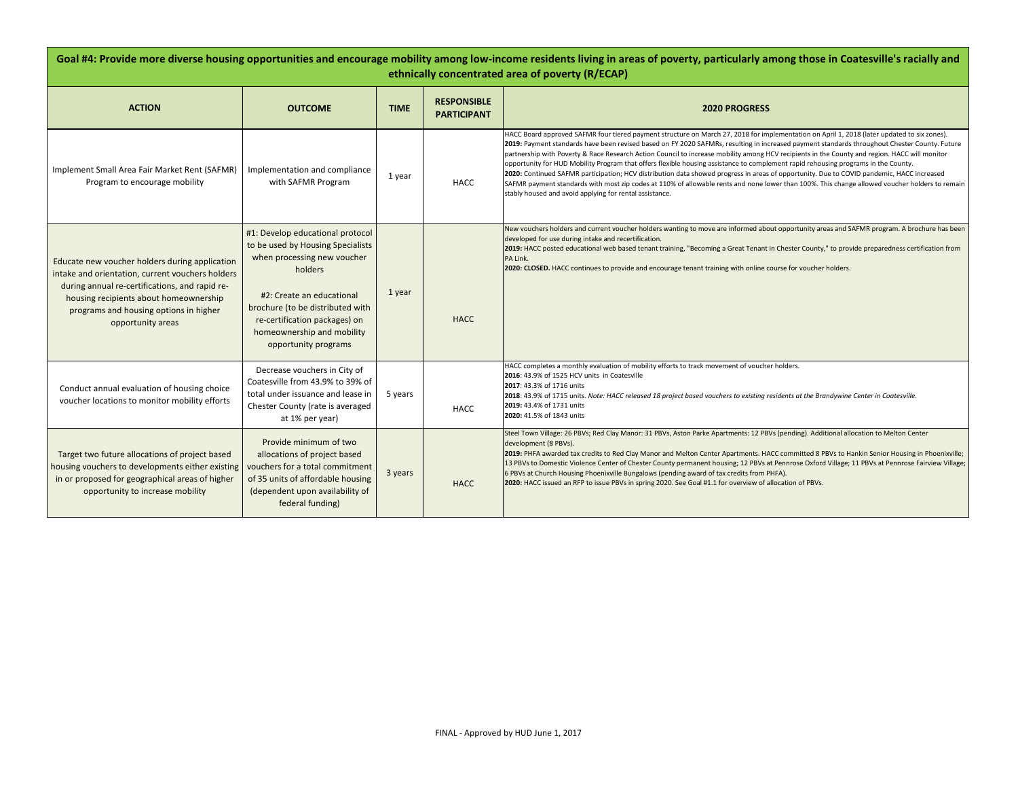| Goal #4: Provide more diverse housing opportunities and encourage mobility among low-income residents living in areas of poverty, particularly among those in Coatesville's racially and<br>ethnically concentrated area of poverty (R/ECAP)                  |                                                                                                                                                                                                                                                                         |             |                                          |                                                                                                                                                                                                                                                                                                                                                                                                                                                                                                                                                                                                                                                                                                                                                                                                                                                                                                                                               |  |  |  |
|---------------------------------------------------------------------------------------------------------------------------------------------------------------------------------------------------------------------------------------------------------------|-------------------------------------------------------------------------------------------------------------------------------------------------------------------------------------------------------------------------------------------------------------------------|-------------|------------------------------------------|-----------------------------------------------------------------------------------------------------------------------------------------------------------------------------------------------------------------------------------------------------------------------------------------------------------------------------------------------------------------------------------------------------------------------------------------------------------------------------------------------------------------------------------------------------------------------------------------------------------------------------------------------------------------------------------------------------------------------------------------------------------------------------------------------------------------------------------------------------------------------------------------------------------------------------------------------|--|--|--|
| <b>ACTION</b>                                                                                                                                                                                                                                                 | <b>OUTCOME</b>                                                                                                                                                                                                                                                          | <b>TIME</b> | <b>RESPONSIBLE</b><br><b>PARTICIPANT</b> | <b>2020 PROGRESS</b>                                                                                                                                                                                                                                                                                                                                                                                                                                                                                                                                                                                                                                                                                                                                                                                                                                                                                                                          |  |  |  |
| Implement Small Area Fair Market Rent (SAFMR)<br>Program to encourage mobility                                                                                                                                                                                | Implementation and compliance<br>with SAFMR Program                                                                                                                                                                                                                     | 1 year      | HACC                                     | HACC Board approved SAFMR four tiered payment structure on March 27, 2018 for implementation on April 1, 2018 (later updated to six zones).<br>2019: Payment standards have been revised based on FY 2020 SAFMRs, resulting in increased payment standards throughout Chester County. Future<br>partnership with Poverty & Race Research Action Council to increase mobility among HCV recipients in the County and region. HACC will monitor<br>opportunity for HUD Mobility Program that offers flexible housing assistance to complement rapid rehousing programs in the County.<br>2020: Continued SAFMR participation; HCV distribution data showed progress in areas of opportunity. Due to COVID pandemic, HACC increased<br>SAFMR payment standards with most zip codes at 110% of allowable rents and none lower than 100%. This change allowed voucher holders to remain<br>stably housed and avoid applying for rental assistance. |  |  |  |
| Educate new voucher holders during application<br>intake and orientation, current vouchers holders<br>during annual re-certifications, and rapid re-<br>housing recipients about homeownership<br>programs and housing options in higher<br>opportunity areas | #1: Develop educational protocol<br>to be used by Housing Specialists<br>when processing new voucher<br>holders<br>#2: Create an educational<br>brochure (to be distributed with<br>re-certification packages) on<br>homeownership and mobility<br>opportunity programs | 1 year      | <b>HACC</b>                              | New vouchers holders and current voucher holders wanting to move are informed about opportunity areas and SAFMR program. A brochure has been<br>developed for use during intake and recertification.<br>2019: HACC posted educational web based tenant training, "Becoming a Great Tenant in Chester County," to provide preparedness certification from<br>PA Link.<br>2020: CLOSED. HACC continues to provide and encourage tenant training with online course for voucher holders.                                                                                                                                                                                                                                                                                                                                                                                                                                                         |  |  |  |
| Conduct annual evaluation of housing choice<br>voucher locations to monitor mobility efforts                                                                                                                                                                  | Decrease vouchers in City of<br>Coatesville from 43.9% to 39% of<br>total under issuance and lease in<br>Chester County (rate is averaged<br>at 1% per year)                                                                                                            | 5 years     | <b>HACC</b>                              | HACC completes a monthly evaluation of mobility efforts to track movement of voucher holders.<br>2016: 43.9% of 1525 HCV units in Coatesville<br>2017: 43.3% of 1716 units<br>2018: 43.9% of 1715 units. Note: HACC released 18 project based vouchers to existing residents at the Brandywine Center in Coatesville.<br>2019: 43.4% of 1731 units<br>2020: 41.5% of 1843 units                                                                                                                                                                                                                                                                                                                                                                                                                                                                                                                                                               |  |  |  |
| Target two future allocations of project based<br>housing vouchers to developments either existing<br>in or proposed for geographical areas of higher<br>opportunity to increase mobility                                                                     | Provide minimum of two<br>allocations of project based<br>vouchers for a total commitment<br>of 35 units of affordable housing<br>(dependent upon availability of<br>federal funding)                                                                                   | 3 years     | <b>HACC</b>                              | Steel Town Village: 26 PBVs; Red Clay Manor: 31 PBVs, Aston Parke Apartments: 12 PBVs (pending). Additional allocation to Melton Center<br>development (8 PBVs).<br>2019: PHFA awarded tax credits to Red Clay Manor and Melton Center Apartments. HACC committed 8 PBVs to Hankin Senior Housing in Phoenixville;<br>13 PBVs to Domestic Violence Center of Chester County permanent housing; 12 PBVs at Pennrose Oxford Village; 11 PBVs at Pennrose Fairview Village;<br>6 PBVs at Church Housing Phoenixville Bungalows (pending award of tax credits from PHFA).<br>2020: HACC issued an RFP to issue PBVs in spring 2020. See Goal #1.1 for overview of allocation of PBVs.                                                                                                                                                                                                                                                             |  |  |  |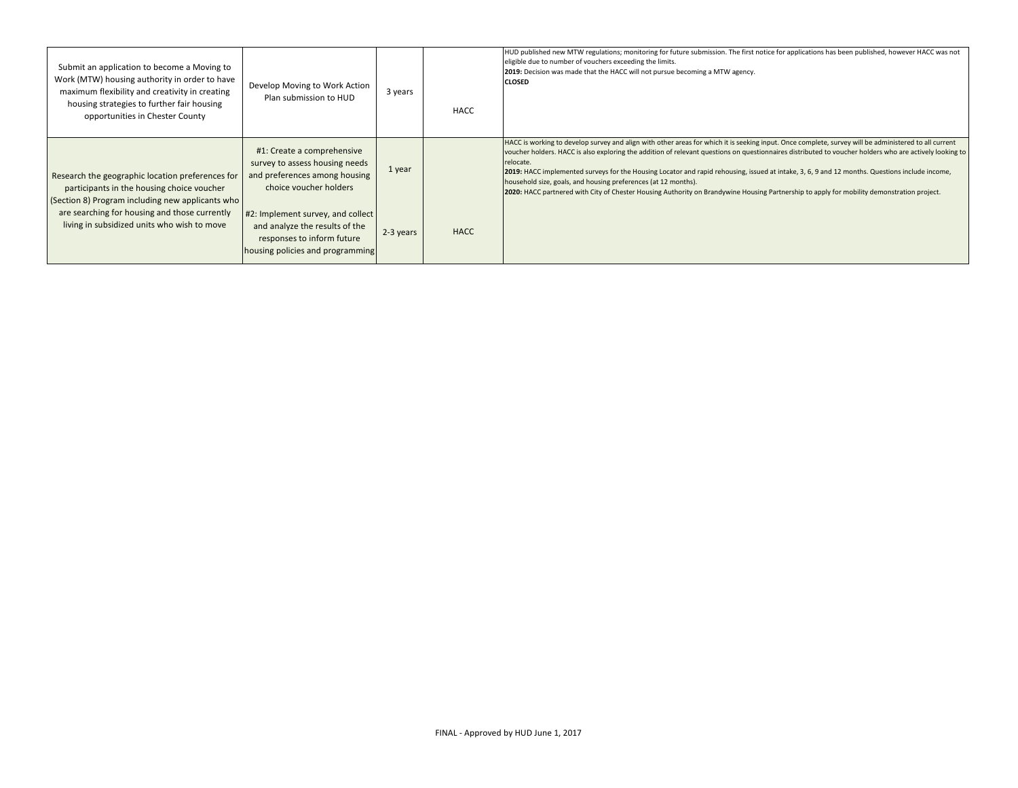| Submit an application to become a Moving to<br>Work (MTW) housing authority in order to have<br>maximum flexibility and creativity in creating<br>housing strategies to further fair housing<br>opportunities in Chester County | Develop Moving to Work Action<br>Plan submission to HUD                                                                               | 3 years   | HACC        | HUD published new MTW regulations; monitoring for future submission. The first notice for applications has been published, however HACC was not<br>eligible due to number of vouchers exceeding the limits.<br>2019: Decision was made that the HACC will not pursue becoming a MTW agency.<br><b>CLOSED</b>                                                                                                                                                                                                                                                                                                                                                                                     |
|---------------------------------------------------------------------------------------------------------------------------------------------------------------------------------------------------------------------------------|---------------------------------------------------------------------------------------------------------------------------------------|-----------|-------------|--------------------------------------------------------------------------------------------------------------------------------------------------------------------------------------------------------------------------------------------------------------------------------------------------------------------------------------------------------------------------------------------------------------------------------------------------------------------------------------------------------------------------------------------------------------------------------------------------------------------------------------------------------------------------------------------------|
| Research the geographic location preferences for<br>participants in the housing choice voucher<br>(Section 8) Program including new applicants who                                                                              | #1: Create a comprehensive<br>survey to assess housing needs<br>and preferences among housing<br>choice voucher holders               | 1 year    |             | HACC is working to develop survey and align with other areas for which it is seeking input. Once complete, survey will be administered to all current<br>voucher holders. HACC is also exploring the addition of relevant questions on questionnaires distributed to voucher holders who are actively looking to<br>relocate.<br>[2019: HACC implemented surveys for the Housing Locator and rapid rehousing, issued at intake, 3, 6, 9 and 12 months. Questions include income,<br>household size, goals, and housing preferences (at 12 months).<br>2020: HACC partnered with City of Chester Housing Authority on Brandywine Housing Partnership to apply for mobility demonstration project. |
| are searching for housing and those currently<br>living in subsidized units who wish to move                                                                                                                                    | #2: Implement survey, and collect<br>and analyze the results of the<br>responses to inform future<br>housing policies and programming | 2-3 years | <b>HACC</b> |                                                                                                                                                                                                                                                                                                                                                                                                                                                                                                                                                                                                                                                                                                  |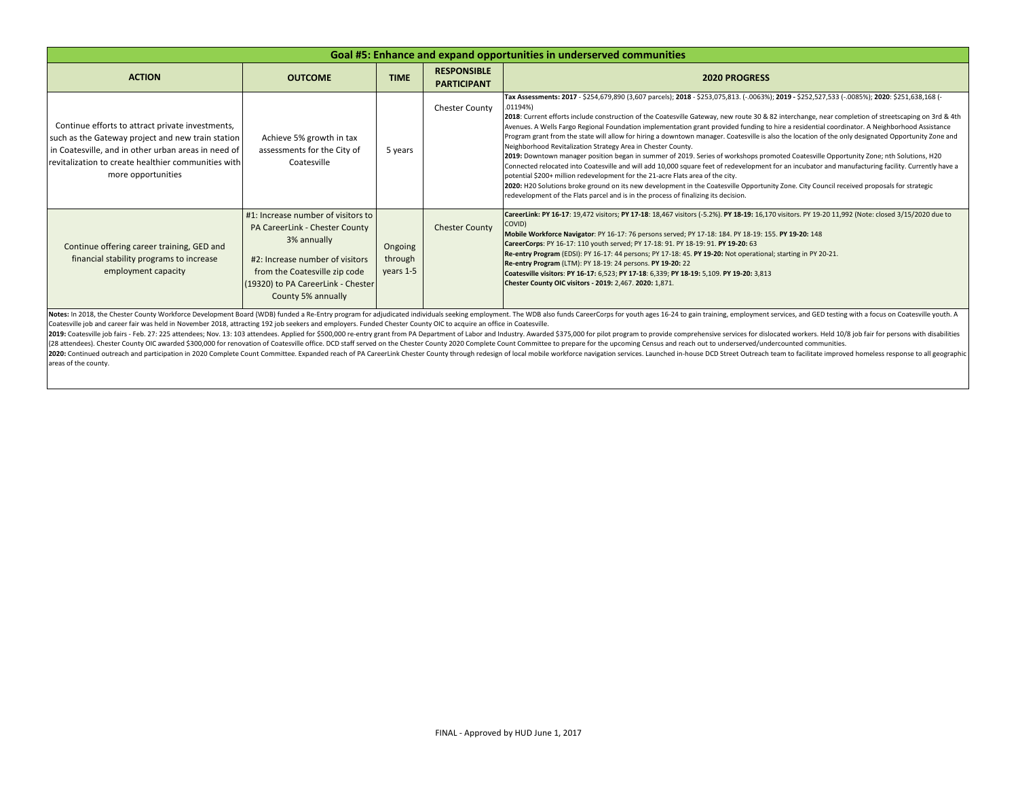| Goal #5: Enhance and expand opportunities in underserved communities                                                                                                                                                                      |                                                                                                                                                                                                                     |                                 |                                          |                                                                                                                                                                                                                                                                                                                                                                                                                                                                                                                                                                                                                                                                                                                                                                                                                                                                                                                                                                                                                                                                                                                                                                                                                                                                                                                  |  |  |
|-------------------------------------------------------------------------------------------------------------------------------------------------------------------------------------------------------------------------------------------|---------------------------------------------------------------------------------------------------------------------------------------------------------------------------------------------------------------------|---------------------------------|------------------------------------------|------------------------------------------------------------------------------------------------------------------------------------------------------------------------------------------------------------------------------------------------------------------------------------------------------------------------------------------------------------------------------------------------------------------------------------------------------------------------------------------------------------------------------------------------------------------------------------------------------------------------------------------------------------------------------------------------------------------------------------------------------------------------------------------------------------------------------------------------------------------------------------------------------------------------------------------------------------------------------------------------------------------------------------------------------------------------------------------------------------------------------------------------------------------------------------------------------------------------------------------------------------------------------------------------------------------|--|--|
| <b>ACTION</b>                                                                                                                                                                                                                             | <b>OUTCOME</b>                                                                                                                                                                                                      | <b>TIME</b>                     | <b>RESPONSIBLE</b><br><b>PARTICIPANT</b> | <b>2020 PROGRESS</b>                                                                                                                                                                                                                                                                                                                                                                                                                                                                                                                                                                                                                                                                                                                                                                                                                                                                                                                                                                                                                                                                                                                                                                                                                                                                                             |  |  |
| Continue efforts to attract private investments,<br>such as the Gateway project and new train station<br>in Coatesville, and in other urban areas in need of<br>revitalization to create healthier communities with<br>more opportunities | Achieve 5% growth in tax<br>assessments for the City of<br>Coatesville                                                                                                                                              | 5 years                         | <b>Chester County</b>                    | Tax Assessments: 2017 - \$254,679,890 (3,607 parcels); 2018 - \$253,075,813. (-.0063%); 2019 - \$252,527,533 (-.0085%); 2020: \$251,638,168 (-<br>.01194%<br>2018: Current efforts include construction of the Coatesville Gateway, new route 30 & 82 interchange, near completion of streetscaping on 3rd & 4th<br>Avenues. A Wells Fargo Regional Foundation implementation grant provided funding to hire a residential coordinator. A Neighborhood Assistance<br>Program grant from the state will allow for hiring a downtown manager. Coatesville is also the location of the only designated Opportunity Zone and<br>Neighborhood Revitalization Strategy Area in Chester County.<br>2019: Downtown manager position began in summer of 2019. Series of workshops promoted Coatesville Opportunity Zone; nth Solutions, H2O<br>Connected relocated into Coatesville and will add 10,000 square feet of redevelopment for an incubator and manufacturing facility. Currently have a<br>potential \$200+ million redevelopment for the 21-acre Flats area of the city.<br>2020: H2O Solutions broke ground on its new development in the Coatesville Opportunity Zone. City Council received proposals for strategic<br>redevelopment of the Flats parcel and is in the process of finalizing its decision. |  |  |
| Continue offering career training, GED and<br>financial stability programs to increase<br>employment capacity                                                                                                                             | #1: Increase number of visitors to<br>PA CareerLink - Chester County<br>3% annually<br>#2: Increase number of visitors<br>from the Coatesville zip code<br>(19320) to PA CareerLink - Chester<br>County 5% annually | Ongoing<br>through<br>years 1-5 | <b>Chester County</b>                    | CareerLink: PY 16-17: 19,472 visitors; PY 17-18: 18,467 visitors (-5.2%). PY 18-19: 16,170 visitors. PY 19-20 11,992 (Note: closed 3/15/2020 due to<br>COVID)<br>Mobile Workforce Navigator: PY 16-17: 76 persons served; PY 17-18: 184. PY 18-19: 155. PY 19-20: 148<br>CareerCorps: PY 16-17: 110 youth served; PY 17-18: 91. PY 18-19: 91. PY 19-20: 63<br>Re-entry Program (EDSI): PY 16-17: 44 persons; PY 17-18: 45. PY 19-20: Not operational; starting in PY 20-21.<br>Re-entry Program (LTM): PY 18-19: 24 persons. PY 19-20: 22<br>Coatesville visitors: PY 16-17: 6,523; PY 17-18: 6,339; PY 18-19: 5,109. PY 19-20: 3,813<br>Chester County OIC visitors - 2019: 2,467. 2020: 1,871.                                                                                                                                                                                                                                                                                                                                                                                                                                                                                                                                                                                                                 |  |  |

Notes: In 2018, the Chester County Workforce Development Board (WDB) funded a Re-Entry program for adjudicated individuals seeking employment. The WDB also funds CareerCorps for youth ages 16-24 to gain training, employmen Coatesville job and career fair was held in November 2018, attracting 192 job seekers and employers. Funded Chester County OIC to acquire an office in Coatesville.

2019: Coatesville job fairs - Feb. 27: 225 attendees; Nov. 13: 103 attendees. Applied for \$500,000 re-entry grant from PA Department of Labor and Industry. Awarded \$375,000 for pilot program to provide comprehensive servic (28 attendees). Chester County OIC awarded \$300,000 for renovation of Coatesville office. DCD staff served on the Chester County 2020 Complete Count Committee to prepare for the upcoming Census and reach out to underserved 2020: Continued outreach and participation in 2020 Complete Count Committee. Expanded reach of PA CareerLink Chester County through redesign of local mobile workforce navigation services. Launched in house DCD Street Outre areas of the county.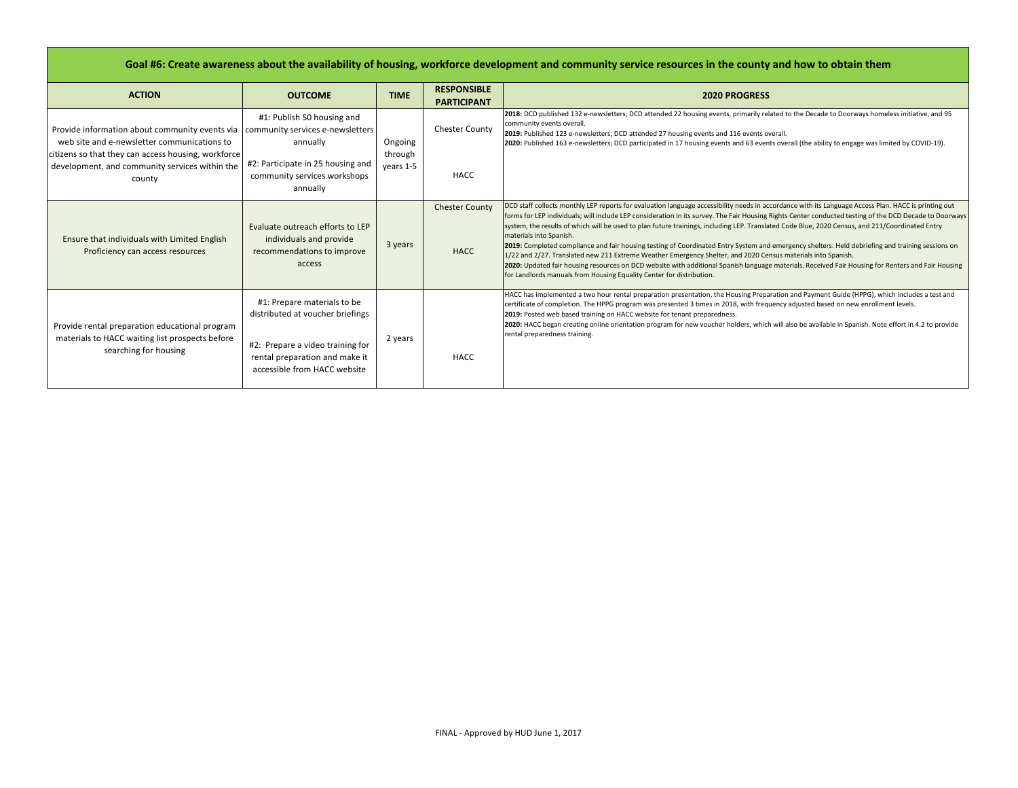## **Goal #6: Create awareness about the availability of housing, workforce development and community service resources in the county and how to obtain them**

| <b>ACTION</b>                                                                                                                    | <b>OUTCOME</b>                                                                                                                                                        | <b>TIME</b>          | <b>RESPONSIBLE</b><br><b>PARTICIPANT</b> | <b>2020 PROGRESS</b>                                                                                                                                                                                                                                                                                                                                                                                                                                                                                                                                                                                                                                                                                                                                                                                                                                                                                                                                                                            |
|----------------------------------------------------------------------------------------------------------------------------------|-----------------------------------------------------------------------------------------------------------------------------------------------------------------------|----------------------|------------------------------------------|-------------------------------------------------------------------------------------------------------------------------------------------------------------------------------------------------------------------------------------------------------------------------------------------------------------------------------------------------------------------------------------------------------------------------------------------------------------------------------------------------------------------------------------------------------------------------------------------------------------------------------------------------------------------------------------------------------------------------------------------------------------------------------------------------------------------------------------------------------------------------------------------------------------------------------------------------------------------------------------------------|
| Provide information about community events via   community services e-newsletters<br>web site and e-newsletter communications to | #1: Publish 50 housing and<br>annually                                                                                                                                | Ongoing              | Chester County                           | 2018: DCD published 132 e-newsletters; DCD attended 22 housing events, primarily related to the Decade to Doorways homeless initiative, and 95<br>community events overall.<br>2019: Published 123 e-newsletters; DCD attended 27 housing events and 116 events overall.<br>2020: Published 163 e-newsletters; DCD participated in 17 housing events and 63 events overall (the ability to engage was limited by COVID-19).                                                                                                                                                                                                                                                                                                                                                                                                                                                                                                                                                                     |
| citizens so that they can access housing, workforce<br>development, and community services within the<br>county                  | #2: Participate in 25 housing and<br>community services workshops<br>annually                                                                                         | through<br>vears 1-5 | <b>HACC</b>                              |                                                                                                                                                                                                                                                                                                                                                                                                                                                                                                                                                                                                                                                                                                                                                                                                                                                                                                                                                                                                 |
| Ensure that individuals with Limited English<br>Proficiency can access resources                                                 | Evaluate outreach efforts to LEP<br>individuals and provide<br>recommendations to improve<br>access                                                                   | 3 years              | <b>Chester County</b><br><b>HACC</b>     | DCD staff collects monthly LEP reports for evaluation language accessibility needs in accordance with its Language Access Plan. HACC is printing out<br>forms for LEP individuals; will include LEP consideration in its survey. The Fair Housing Rights Center conducted testing of the DCD Decade to Doorways<br>system, the results of which will be used to plan future trainings, including LEP. Translated Code Blue, 2020 Census, and 211/Coordinated Entry<br>materials into Spanish.<br>2019: Completed compliance and fair housing testing of Coordinated Entry System and emergency shelters. Held debriefing and training sessions on<br>1/22 and 2/27. Translated new 211 Extreme Weather Emergency Shelter, and 2020 Census materials into Spanish.<br>2020: Updated fair housing resources on DCD website with additional Spanish language materials. Received Fair Housing for Renters and Fair Housing<br>for Landlords manuals from Housing Equality Center for distribution. |
| Provide rental preparation educational program<br>materials to HACC waiting list prospects before<br>searching for housing       | #1: Prepare materials to be<br>distributed at voucher briefings<br>#2: Prepare a video training for<br>rental preparation and make it<br>accessible from HACC website | 2 years              | HACC                                     | HACC has implemented a two hour rental preparation presentation, the Housing Preparation and Payment Guide (HPPG), which includes a test and<br>certificate of completion. The HPPG program was presented 3 times in 2018, with frequency adjusted based on new enrollment levels.<br>2019: Posted web based training on HACC website for tenant preparedness.<br>2020: HACC began creating online orientation program for new voucher holders, which will also be available in Spanish. Note effort in 4.2 to provide<br>rental preparedness training.                                                                                                                                                                                                                                                                                                                                                                                                                                         |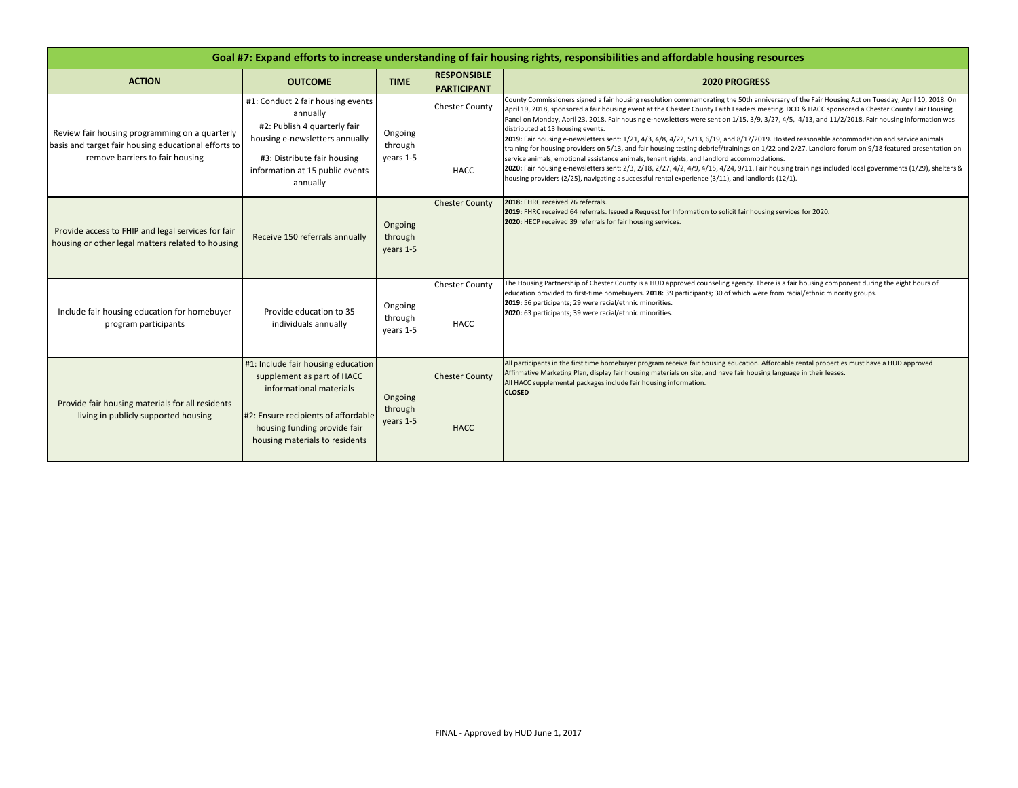| Goal #7: Expand efforts to increase understanding of fair housing rights, responsibilities and affordable housing resources               |                                                                                                                                                                                                      |                                 |                                          |                                                                                                                                                                                                                                                                                                                                                                                                                                                                                                                                                                                                                                                                                                                                                                                                                                                                                                                                                                                                                                                                                                                                                                  |  |  |
|-------------------------------------------------------------------------------------------------------------------------------------------|------------------------------------------------------------------------------------------------------------------------------------------------------------------------------------------------------|---------------------------------|------------------------------------------|------------------------------------------------------------------------------------------------------------------------------------------------------------------------------------------------------------------------------------------------------------------------------------------------------------------------------------------------------------------------------------------------------------------------------------------------------------------------------------------------------------------------------------------------------------------------------------------------------------------------------------------------------------------------------------------------------------------------------------------------------------------------------------------------------------------------------------------------------------------------------------------------------------------------------------------------------------------------------------------------------------------------------------------------------------------------------------------------------------------------------------------------------------------|--|--|
| <b>ACTION</b>                                                                                                                             | <b>OUTCOME</b>                                                                                                                                                                                       | <b>TIME</b>                     | <b>RESPONSIBLE</b><br><b>PARTICIPANT</b> | <b>2020 PROGRESS</b>                                                                                                                                                                                                                                                                                                                                                                                                                                                                                                                                                                                                                                                                                                                                                                                                                                                                                                                                                                                                                                                                                                                                             |  |  |
| Review fair housing programming on a quarterly<br>basis and target fair housing educational efforts to<br>remove barriers to fair housing | #1: Conduct 2 fair housing events<br>annually<br>#2: Publish 4 quarterly fair<br>housing e-newsletters annually<br>#3: Distribute fair housing<br>information at 15 public events<br>annually        | Ongoing<br>through<br>years 1-5 | <b>Chester County</b><br>HACC            | County Commissioners signed a fair housing resolution commemorating the 50th anniversary of the Fair Housing Act on Tuesday, April 10, 2018. On<br>April 19, 2018, sponsored a fair housing event at the Chester County Faith Leaders meeting. DCD & HACC sponsored a Chester County Fair Housing<br>Panel on Monday, April 23, 2018. Fair housing e-newsletters were sent on 1/15, 3/9, 3/27, 4/5, 4/13, and 11/2/2018. Fair housing information was<br>distributed at 13 housing events.<br>2019: Fair housing e-newsletters sent: 1/21, 4/3, 4/8, 4/22, 5/13, 6/19, and 8/17/2019. Hosted reasonable accommodation and service animals<br>training for housing providers on 5/13, and fair housing testing debrief/trainings on 1/22 and 2/27. Landlord forum on 9/18 featured presentation on<br>service animals, emotional assistance animals, tenant rights, and landlord accommodations.<br>2020: Fair housing e-newsletters sent: 2/3, 2/18, 2/27, 4/2, 4/9, 4/15, 4/24, 9/11. Fair housing trainings included local governments (1/29), shelters &<br>housing providers (2/25), navigating a successful rental experience (3/11), and landlords (12/1). |  |  |
| Provide access to FHIP and legal services for fair<br>housing or other legal matters related to housing                                   | Receive 150 referrals annually                                                                                                                                                                       | Ongoing<br>through<br>years 1-5 | <b>Chester County</b>                    | 2018: FHRC received 76 referrals.<br>2019: FHRC received 64 referrals. Issued a Request for Information to solicit fair housing services for 2020.<br>2020: HECP received 39 referrals for fair housing services.                                                                                                                                                                                                                                                                                                                                                                                                                                                                                                                                                                                                                                                                                                                                                                                                                                                                                                                                                |  |  |
| Include fair housing education for homebuyer<br>program participants                                                                      | Provide education to 35<br>individuals annually                                                                                                                                                      | Ongoing<br>through<br>years 1-5 | Chester County<br><b>HACC</b>            | The Housing Partnership of Chester County is a HUD approved counseling agency. There is a fair housing component during the eight hours of<br>education provided to first-time homebuyers. 2018: 39 participants; 30 of which were from racial/ethnic minority groups.<br>2019: 56 participants; 29 were racial/ethnic minorities.<br>2020: 63 participants; 39 were racial/ethnic minorities.                                                                                                                                                                                                                                                                                                                                                                                                                                                                                                                                                                                                                                                                                                                                                                   |  |  |
| Provide fair housing materials for all residents<br>living in publicly supported housing                                                  | #1: Include fair housing education<br>supplement as part of HACC<br>informational materials<br>#2: Ensure recipients of affordable<br>housing funding provide fair<br>housing materials to residents | Ongoing<br>through<br>years 1-5 | <b>Chester County</b><br><b>HACC</b>     | All participants in the first time homebuyer program receive fair housing education. Affordable rental properties must have a HUD approved<br>Affirmative Marketing Plan, display fair housing materials on site, and have fair housing language in their leases.<br>All HACC supplemental packages include fair housing information.<br><b>CLOSED</b>                                                                                                                                                                                                                                                                                                                                                                                                                                                                                                                                                                                                                                                                                                                                                                                                           |  |  |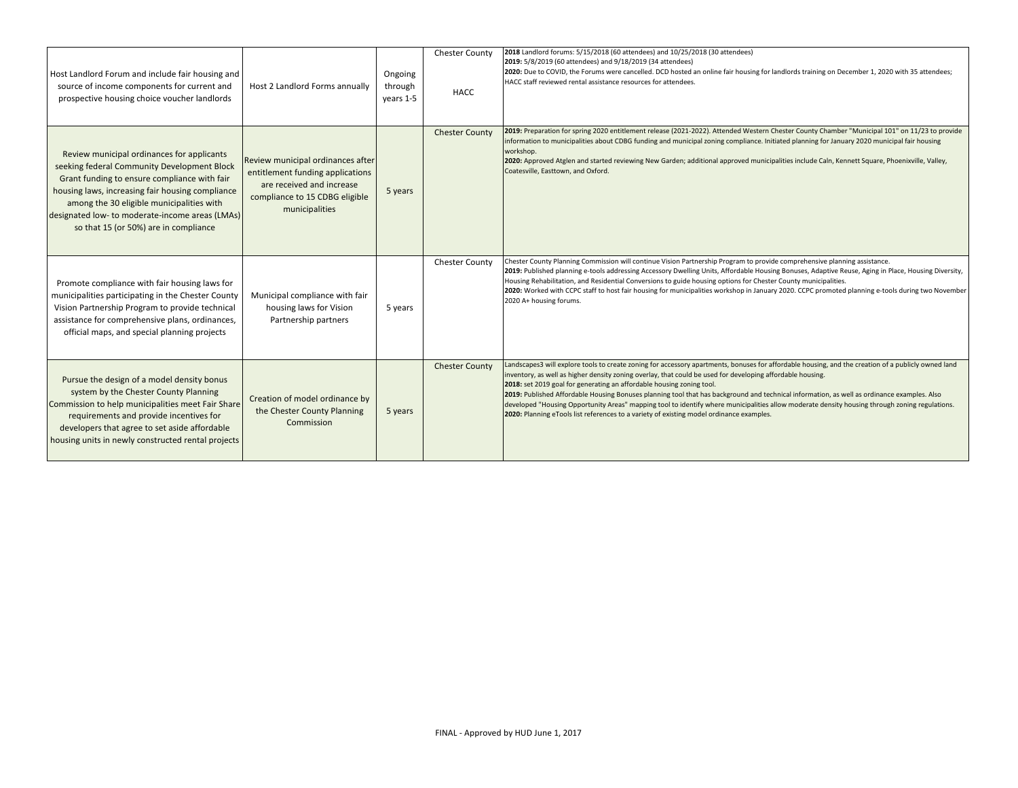| Host Landlord Forum and include fair housing and<br>source of income components for current and<br>prospective housing choice voucher landlords                                                                                                                                                                                        | Host 2 Landlord Forms annually                                                                                                                         | Ongoing<br>through<br>years 1-5 | <b>Chester County</b><br><b>HACC</b> | 2018 Landlord forums: 5/15/2018 (60 attendees) and 10/25/2018 (30 attendees)<br>2019: 5/8/2019 (60 attendees) and 9/18/2019 (34 attendees)<br>2020: Due to COVID, the Forums were cancelled. DCD hosted an online fair housing for landlords training on December 1, 2020 with 35 attendees;<br>HACC staff reviewed rental assistance resources for attendees.                                                                                                                                                                                                                                                                                                                                                                          |
|----------------------------------------------------------------------------------------------------------------------------------------------------------------------------------------------------------------------------------------------------------------------------------------------------------------------------------------|--------------------------------------------------------------------------------------------------------------------------------------------------------|---------------------------------|--------------------------------------|-----------------------------------------------------------------------------------------------------------------------------------------------------------------------------------------------------------------------------------------------------------------------------------------------------------------------------------------------------------------------------------------------------------------------------------------------------------------------------------------------------------------------------------------------------------------------------------------------------------------------------------------------------------------------------------------------------------------------------------------|
| Review municipal ordinances for applicants<br>seeking federal Community Development Block<br>Grant funding to ensure compliance with fair<br>housing laws, increasing fair housing compliance<br>among the 30 eligible municipalities with<br>designated low- to moderate-income areas (LMAs)<br>so that 15 (or 50%) are in compliance | Review municipal ordinances after<br>entitlement funding applications<br>are received and increase<br>compliance to 15 CDBG eligible<br>municipalities | 5 years                         | <b>Chester County</b>                | 2019: Preparation for spring 2020 entitlement release (2021-2022). Attended Western Chester County Chamber "Municipal 101" on 11/23 to provide<br>information to municipalities about CDBG funding and municipal zoning compliance. Initiated planning for January 2020 municipal fair housing<br>workshop.<br>2020: Approved Atglen and started reviewing New Garden; additional approved municipalities include Caln, Kennett Square, Phoenixville, Valley,<br>Coatesville, Easttown, and Oxford.                                                                                                                                                                                                                                     |
| Promote compliance with fair housing laws for<br>municipalities participating in the Chester County<br>Vision Partnership Program to provide technical<br>assistance for comprehensive plans, ordinances,<br>official maps, and special planning projects                                                                              | Municipal compliance with fair<br>housing laws for Vision<br>Partnership partners                                                                      | 5 years                         | <b>Chester County</b>                | Chester County Planning Commission will continue Vision Partnership Program to provide comprehensive planning assistance.<br>2019: Published planning e-tools addressing Accessory Dwelling Units, Affordable Housing Bonuses, Adaptive Reuse, Aging in Place, Housing Diversity,<br>Housing Rehabilitation, and Residential Conversions to guide housing options for Chester County municipalities.<br>2020: Worked with CCPC staff to host fair housing for municipalities workshop in January 2020. CCPC promoted planning e-tools during two November<br>2020 A+ housing forums.                                                                                                                                                    |
| Pursue the design of a model density bonus<br>system by the Chester County Planning<br>Commission to help municipalities meet Fair Share<br>requirements and provide incentives for<br>developers that agree to set aside affordable<br>housing units in newly constructed rental projects                                             | Creation of model ordinance by<br>the Chester County Planning<br>Commission                                                                            | 5 years                         | <b>Chester County</b>                | Landscapes3 will explore tools to create zoning for accessory apartments, bonuses for affordable housing, and the creation of a publicly owned land<br>inventory, as well as higher density zoning overlay, that could be used for developing affordable housing.<br>2018: set 2019 goal for generating an affordable housing zoning tool.<br>2019: Published Affordable Housing Bonuses planning tool that has background and technical information, as well as ordinance examples. Also<br>developed "Housing Opportunity Areas" mapping tool to identify where municipalities allow moderate density housing through zoning regulations.<br>2020: Planning eTools list references to a variety of existing model ordinance examples. |